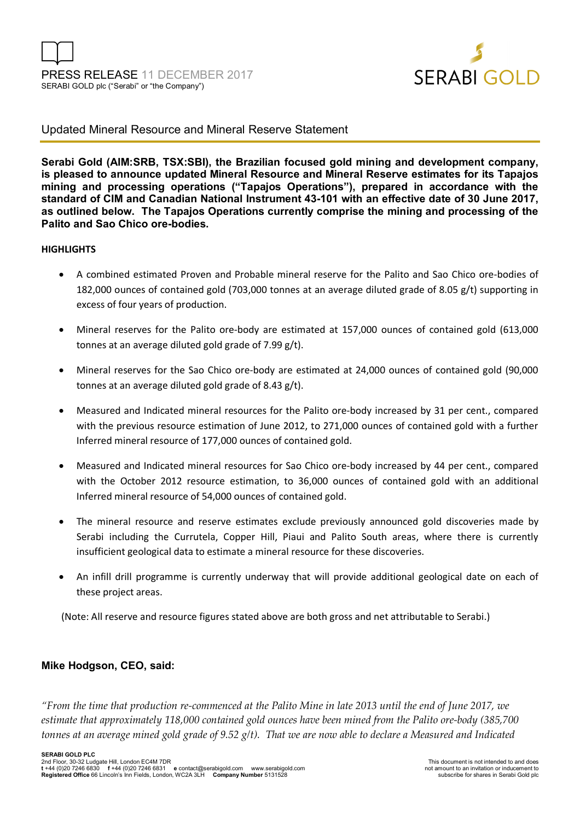

## Updated Mineral Resource and Mineral Reserve Statement

**Serabi Gold (AIM:SRB, TSX:SBI), the Brazilian focused gold mining and development company, is pleased to announce updated Mineral Resource and Mineral Reserve estimates for its Tapajos mining and processing operations ("Tapajos Operations"), prepared in accordance with the standard of CIM and Canadian National Instrument 43-101 with an effective date of 30 June 2017, as outlined below. The Tapajos Operations currently comprise the mining and processing of the Palito and Sao Chico ore-bodies.** 

### **HIGHLIGHTS**

- A combined estimated Proven and Probable mineral reserve for the Palito and Sao Chico ore-bodies of 182,000 ounces of contained gold (703,000 tonnes at an average diluted grade of 8.05 g/t) supporting in excess of four years of production.
- Mineral reserves for the Palito ore-body are estimated at 157,000 ounces of contained gold (613,000 tonnes at an average diluted gold grade of 7.99 g/t).
- Mineral reserves for the Sao Chico ore-body are estimated at 24,000 ounces of contained gold (90,000 tonnes at an average diluted gold grade of 8.43 g/t).
- Measured and Indicated mineral resources for the Palito ore-body increased by 31 per cent., compared with the previous resource estimation of June 2012, to 271,000 ounces of contained gold with a further Inferred mineral resource of 177,000 ounces of contained gold.
- Measured and Indicated mineral resources for Sao Chico ore-body increased by 44 per cent., compared with the October 2012 resource estimation, to 36,000 ounces of contained gold with an additional Inferred mineral resource of 54,000 ounces of contained gold.
- The mineral resource and reserve estimates exclude previously announced gold discoveries made by Serabi including the Currutela, Copper Hill, Piaui and Palito South areas, where there is currently insufficient geological data to estimate a mineral resource for these discoveries.
- An infill drill programme is currently underway that will provide additional geological date on each of these project areas.

(Note: All reserve and resource figures stated above are both gross and net attributable to Serabi.)

## **Mike Hodgson, CEO, said:**

*"From the time that production re-commenced at the Palito Mine in late 2013 until the end of June 2017, we estimate that approximately 118,000 contained gold ounces have been mined from the Palito ore-body (385,700 tonnes at an average mined gold grade of 9.52 g/t). That we are now able to declare a Measured and Indicated*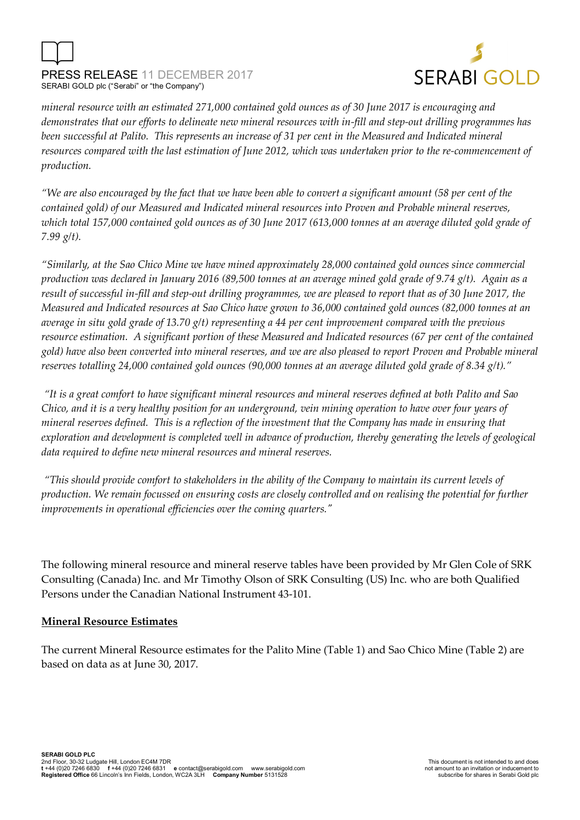



*mineral resource with an estimated 271,000 contained gold ounces as of 30 June 2017 is encouraging and demonstrates that our efforts to delineate new mineral resources with in-fill and step-out drilling programmes has been successful at Palito. This represents an increase of 31 per cent in the Measured and Indicated mineral resources compared with the last estimation of June 2012, which was undertaken prior to the re-commencement of production.* 

*"We are also encouraged by the fact that we have been able to convert a significant amount (58 per cent of the contained gold) of our Measured and Indicated mineral resources into Proven and Probable mineral reserves, which total 157,000 contained gold ounces as of 30 June 2017 (613,000 tonnes at an average diluted gold grade of 7.99 g/t).* 

*"Similarly, at the Sao Chico Mine we have mined approximately 28,000 contained gold ounces since commercial production was declared in January 2016 (89,500 tonnes at an average mined gold grade of 9.74 g/t). Again as a result of successful in-fill and step-out drilling programmes, we are pleased to report that as of 30 June 2017, the Measured and Indicated resources at Sao Chico have grown to 36,000 contained gold ounces (82,000 tonnes at an average in situ gold grade of 13.70 g/t) representing a 44 per cent improvement compared with the previous resource estimation. A significant portion of these Measured and Indicated resources (67 per cent of the contained gold) have also been converted into mineral reserves, and we are also pleased to report Proven and Probable mineral reserves totalling 24,000 contained gold ounces (90,000 tonnes at an average diluted gold grade of 8.34 g/t)."* 

 *"It is a great comfort to have significant mineral resources and mineral reserves defined at both Palito and Sao Chico, and it is a very healthy position for an underground, vein mining operation to have over four years of mineral reserves defined. This is a reflection of the investment that the Company has made in ensuring that exploration and development is completed well in advance of production, thereby generating the levels of geological data required to define new mineral resources and mineral reserves.* 

 *"This should provide comfort to stakeholders in the ability of the Company to maintain its current levels of production. We remain focussed on ensuring costs are closely controlled and on realising the potential for further improvements in operational efficiencies over the coming quarters."* 

The following mineral resource and mineral reserve tables have been provided by Mr Glen Cole of SRK Consulting (Canada) Inc. and Mr Timothy Olson of SRK Consulting (US) Inc. who are both Qualified Persons under the Canadian National Instrument 43-101.

## **Mineral Resource Estimates**

The current Mineral Resource estimates for the Palito Mine (Table 1) and Sao Chico Mine (Table 2) are based on data as at June 30, 2017.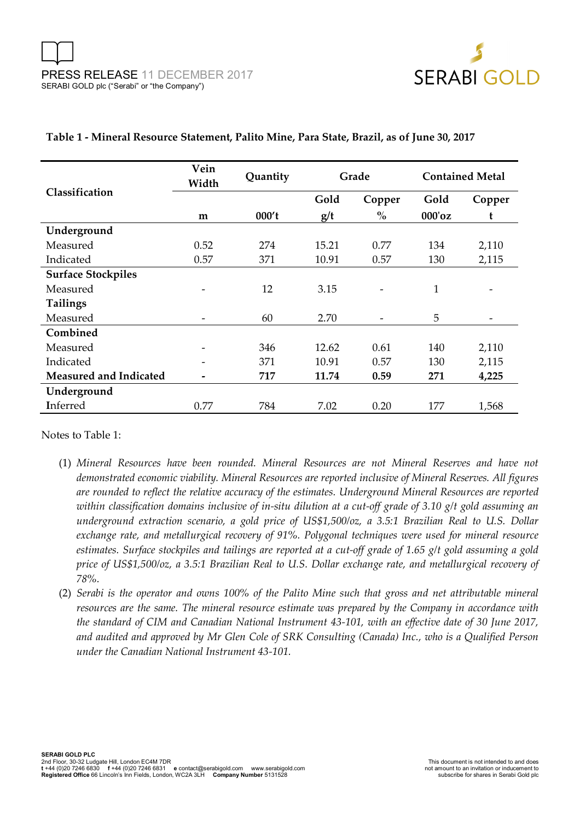

|                               | Vein<br>Width            | Quantity | Grade |               | <b>Contained Metal</b> |        |
|-------------------------------|--------------------------|----------|-------|---------------|------------------------|--------|
| Classification                |                          |          | Gold  | Copper        | Gold                   | Copper |
|                               | m                        | 000't    | g/t   | $\frac{0}{0}$ | 000'oz                 | t      |
| Underground                   |                          |          |       |               |                        |        |
| Measured                      | 0.52                     | 274      | 15.21 | 0.77          | 134                    | 2,110  |
| Indicated                     | 0.57                     | 371      | 10.91 | 0.57          | 130                    | 2,115  |
| <b>Surface Stockpiles</b>     |                          |          |       |               |                        |        |
| Measured                      |                          | 12       | 3.15  |               | $\mathbf{1}$           |        |
| <b>Tailings</b>               |                          |          |       |               |                        |        |
| Measured                      |                          | 60       | 2.70  |               | 5                      |        |
| Combined                      |                          |          |       |               |                        |        |
| Measured                      | $\overline{\phantom{a}}$ | 346      | 12.62 | 0.61          | 140                    | 2,110  |
| Indicated                     |                          | 371      | 10.91 | 0.57          | 130                    | 2,115  |
| <b>Measured and Indicated</b> |                          | 717      | 11.74 | 0.59          | 271                    | 4,225  |
| Underground                   |                          |          |       |               |                        |        |
| <b>Inferred</b>               | 0.77                     | 784      | 7.02  | 0.20          | 177                    | 1,568  |

## **Table 1 - Mineral Resource Statement, Palito Mine, Para State, Brazil, as of June 30, 2017**

Notes to Table 1:

- (1) *Mineral Resources have been rounded. Mineral Resources are not Mineral Reserves and have not demonstrated economic viability. Mineral Resources are reported inclusive of Mineral Reserves. All figures are rounded to reflect the relative accuracy of the estimates. Underground Mineral Resources are reported within classification domains inclusive of in-situ dilution at a cut-off grade of 3.10 g/t gold assuming an underground extraction scenario, a gold price of US\$1,500/oz, a 3.5:1 Brazilian Real to U.S. Dollar exchange rate, and metallurgical recovery of 91%. Polygonal techniques were used for mineral resource estimates. Surface stockpiles and tailings are reported at a cut-off grade of 1.65 g/t gold assuming a gold price of US\$1,500/oz, a 3.5:1 Brazilian Real to U.S. Dollar exchange rate, and metallurgical recovery of 78%.*
- (2) *Serabi is the operator and owns 100% of the Palito Mine such that gross and net attributable mineral resources are the same. The mineral resource estimate was prepared by the Company in accordance with the standard of CIM and Canadian National Instrument 43-101, with an effective date of 30 June 2017, and audited and approved by Mr Glen Cole of SRK Consulting (Canada) Inc., who is a Qualified Person under the Canadian National Instrument 43-101.*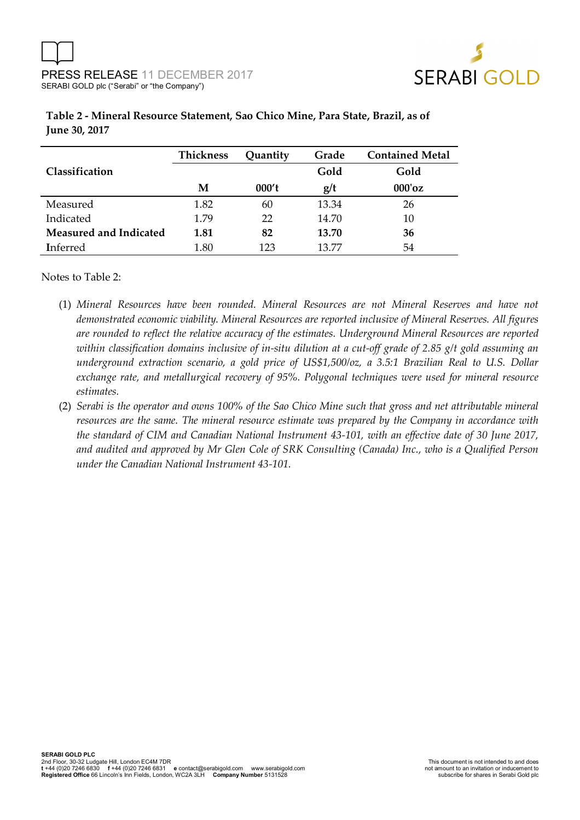

|                               | Thickness | Quantity | Grade | <b>Contained Metal</b> |
|-------------------------------|-----------|----------|-------|------------------------|
| Classification                |           |          | Gold  | Gold                   |
|                               | M         | 000't    | g/t   | 000'oz                 |
| Measured                      | 1.82      | 60       | 13.34 | 26                     |
| Indicated                     | 1.79      | 22       | 14.70 | 10                     |
| <b>Measured and Indicated</b> | 1.81      | 82       | 13.70 | 36                     |
| <b>I</b> nferred              | $1.80\,$  | 123      | 1377  | 54                     |

| Table 2 - Mineral Resource Statement, Sao Chico Mine, Para State, Brazil, as of |  |
|---------------------------------------------------------------------------------|--|
| <b>June 30, 2017</b>                                                            |  |

Notes to Table 2:

- (1) *Mineral Resources have been rounded. Mineral Resources are not Mineral Reserves and have not demonstrated economic viability. Mineral Resources are reported inclusive of Mineral Reserves. All figures are rounded to reflect the relative accuracy of the estimates. Underground Mineral Resources are reported within classification domains inclusive of in-situ dilution at a cut-off grade of 2.85 g/t gold assuming an underground extraction scenario, a gold price of US\$1,500/oz, a 3.5:1 Brazilian Real to U.S. Dollar exchange rate, and metallurgical recovery of 95%. Polygonal techniques were used for mineral resource estimates.*
- (2) *Serabi is the operator and owns 100% of the Sao Chico Mine such that gross and net attributable mineral resources are the same. The mineral resource estimate was prepared by the Company in accordance with the standard of CIM and Canadian National Instrument 43-101, with an effective date of 30 June 2017, and audited and approved by Mr Glen Cole of SRK Consulting (Canada) Inc., who is a Qualified Person under the Canadian National Instrument 43-101.*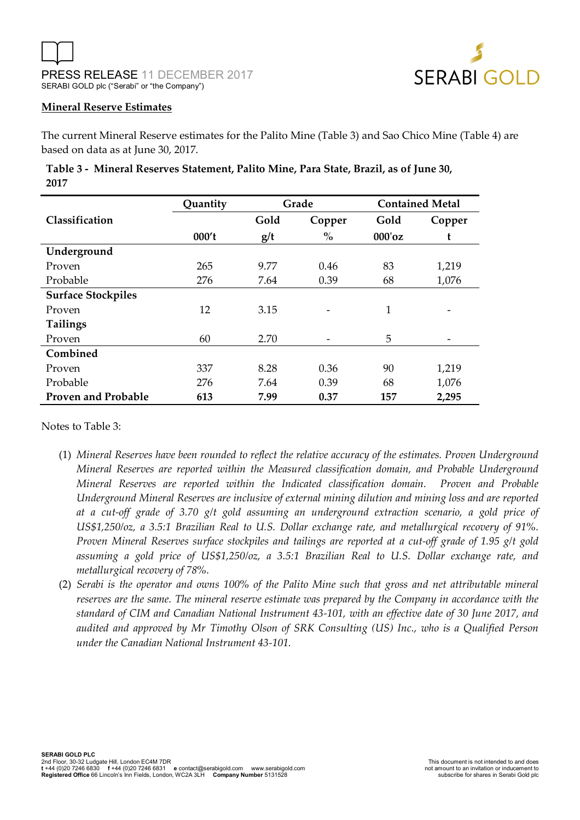

## **Mineral Reserve Estimates**

The current Mineral Reserve estimates for the Palito Mine (Table 3) and Sao Chico Mine (Table 4) are based on data as at June 30, 2017.

|      | Table 3 - Mineral Reserves Statement, Palito Mine, Para State, Brazil, as of June 30, |  |  |
|------|---------------------------------------------------------------------------------------|--|--|
| 2017 |                                                                                       |  |  |

|                            | Quantity | Grade |               | <b>Contained Metal</b> |                 |
|----------------------------|----------|-------|---------------|------------------------|-----------------|
| Classification             |          | Gold  | Copper        | Gold                   | Copper          |
|                            | 000't    | g/t   | $\frac{0}{0}$ | 000'oz                 | t               |
| Underground                |          |       |               |                        |                 |
| Proven                     | 265      | 9.77  | 0.46          | 83                     | 1,219           |
| Probable                   | 276      | 7.64  | 0.39          | 68                     | 1,076           |
| <b>Surface Stockpiles</b>  |          |       |               |                        |                 |
| Proven                     | 12       | 3.15  |               | 1                      |                 |
| <b>Tailings</b>            |          |       |               |                        |                 |
| Proven                     | 60       | 2.70  |               | 5                      | $\qquad \qquad$ |
| Combined                   |          |       |               |                        |                 |
| Proven                     | 337      | 8.28  | 0.36          | 90                     | 1,219           |
| Probable                   | 276      | 7.64  | 0.39          | 68                     | 1,076           |
| <b>Proven and Probable</b> | 613      | 7.99  | 0.37          | 157                    | 2,295           |

Notes to Table 3:

- (1) *Mineral Reserves have been rounded to reflect the relative accuracy of the estimates. Proven Underground Mineral Reserves are reported within the Measured classification domain, and Probable Underground Mineral Reserves are reported within the Indicated classification domain. Proven and Probable Underground Mineral Reserves are inclusive of external mining dilution and mining loss and are reported at a cut-off grade of 3.70 g/t gold assuming an underground extraction scenario, a gold price of US\$1,250/oz, a 3.5:1 Brazilian Real to U.S. Dollar exchange rate, and metallurgical recovery of 91%. Proven Mineral Reserves surface stockpiles and tailings are reported at a cut-off grade of 1.95 g/t gold assuming a gold price of US\$1,250/oz, a 3.5:1 Brazilian Real to U.S. Dollar exchange rate, and metallurgical recovery of 78%.*
- (2) *Serabi is the operator and owns 100% of the Palito Mine such that gross and net attributable mineral reserves are the same. The mineral reserve estimate was prepared by the Company in accordance with the standard of CIM and Canadian National Instrument 43-101, with an effective date of 30 June 2017, and audited and approved by Mr Timothy Olson of SRK Consulting (US) Inc., who is a Qualified Person under the Canadian National Instrument 43-101.*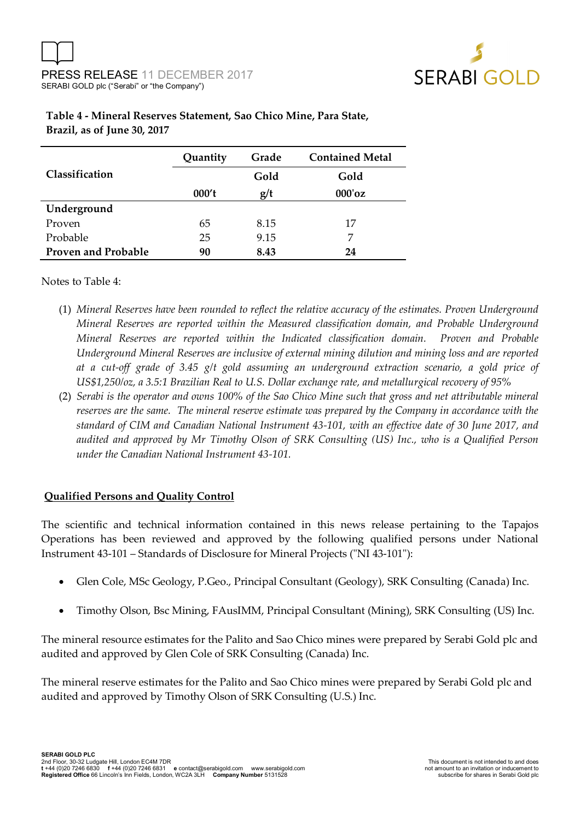

|                            | Quantity | Grade | <b>Contained Metal</b> |
|----------------------------|----------|-------|------------------------|
| Classification             |          | Gold  | Gold                   |
|                            | 000't    | g/t   | 000'oz                 |
| Underground                |          |       |                        |
| Proven                     | 65       | 8.15  | 17                     |
| Probable                   | 25       | 9.15  | 7                      |
| <b>Proven and Probable</b> | 90       | 8.43  | 24                     |

**Table 4 - Mineral Reserves Statement, Sao Chico Mine, Para State, Brazil, as of June 30, 2017** 

## Notes to Table 4:

- (1) *Mineral Reserves have been rounded to reflect the relative accuracy of the estimates. Proven Underground Mineral Reserves are reported within the Measured classification domain, and Probable Underground Mineral Reserves are reported within the Indicated classification domain. Proven and Probable Underground Mineral Reserves are inclusive of external mining dilution and mining loss and are reported at a cut-off grade of 3.45 g/t gold assuming an underground extraction scenario, a gold price of US\$1,250/oz, a 3.5:1 Brazilian Real to U.S. Dollar exchange rate, and metallurgical recovery of 95%*
- (2) *Serabi is the operator and owns 100% of the Sao Chico Mine such that gross and net attributable mineral reserves are the same. The mineral reserve estimate was prepared by the Company in accordance with the standard of CIM and Canadian National Instrument 43-101, with an effective date of 30 June 2017, and audited and approved by Mr Timothy Olson of SRK Consulting (US) Inc., who is a Qualified Person under the Canadian National Instrument 43-101.*

## **Qualified Persons and Quality Control**

The scientific and technical information contained in this news release pertaining to the Tapajos Operations has been reviewed and approved by the following qualified persons under National Instrument 43-101 – Standards of Disclosure for Mineral Projects ("NI 43-101"):

- Glen Cole, MSc Geology, P.Geo., Principal Consultant (Geology), SRK Consulting (Canada) Inc.
- Timothy Olson, Bsc Mining, FAusIMM, Principal Consultant (Mining), SRK Consulting (US) Inc.

The mineral resource estimates for the Palito and Sao Chico mines were prepared by Serabi Gold plc and audited and approved by Glen Cole of SRK Consulting (Canada) Inc.

The mineral reserve estimates for the Palito and Sao Chico mines were prepared by Serabi Gold plc and audited and approved by Timothy Olson of SRK Consulting (U.S.) Inc.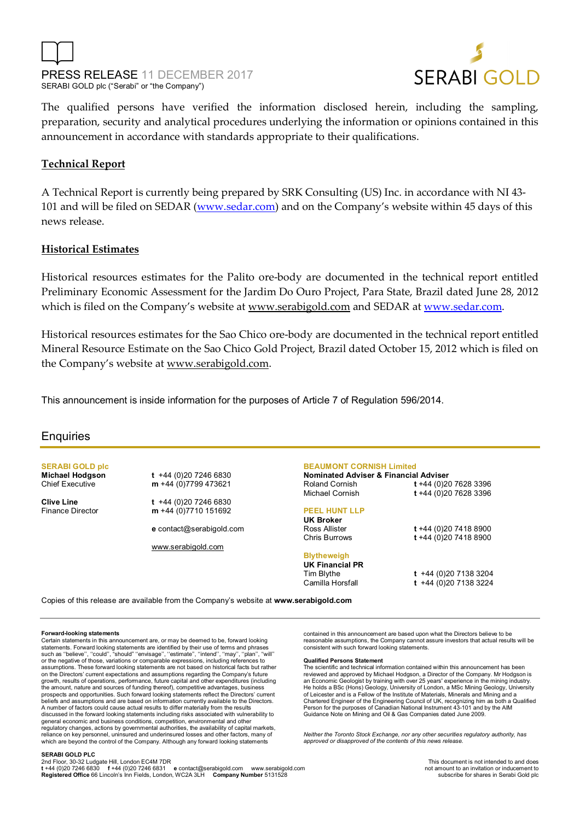



The qualified persons have verified the information disclosed herein, including the sampling, preparation, security and analytical procedures underlying the information or opinions contained in this announcement in accordance with standards appropriate to their qualifications.

## **Technical Report**

A Technical Report is currently being prepared by SRK Consulting (US) Inc. in accordance with NI 43- 101 and will be filed on SEDAR (www.sedar.com) and on the Company's website within 45 days of this news release.

### **Historical Estimates**

Historical resources estimates for the Palito ore-body are documented in the technical report entitled Preliminary Economic Assessment for the Jardim Do Ouro Project, Para State, Brazil dated June 28, 2012 which is filed on the Company's website at www.serabigold.com and SEDAR at www.sedar.com.

Historical resources estimates for the Sao Chico ore-body are documented in the technical report entitled Mineral Resource Estimate on the Sao Chico Gold Project, Brazil dated October 15, 2012 which is filed on the Company's website at www.serabigold.com.

This announcement is inside information for the purposes of Article 7 of Regulation 596/2014.

### **Enquiries**

**SERABI GOLD plc** 

**Clive Line t** +44 (0)20 7246 6830 Finance Director **m** +44 (0)7710 151692

**Michael Hodgson t** +44 (0)20 7246 6830<br>Chief Executive **m** +44 (0)7799 473621 m +44 (0)7799 473621

**e** contact@serabigold.com

www.serabigold.com

#### **BEAUMONT CORNISH Limited**

**Nominated Adviser & Financial Adviser**  Roland Cornish **t** +44 (0)20 7628 3396 Michael Cornish **t** +44 (0)20 7628 3396

# **PEEL HUNT LLP**

**UK Broker** Ross Allister **t** +44 (0)20 7418 8900

#### **Blytheweigh UK Financial PR**

Tim Blythe **t** +44 (0)20 7138 3204

Camilla Horsfall **t** +44 (0)20 7138 3224

Chris Burrows **t** +44 (0)20 7418 8900

Copies of this release are available from the Company's website at **www.serabigold.com** 

#### **Forward-looking statements**

Certain statements in this announcement are, or may be deemed to be, forward looking statements. Forward looking statements are identified by their use of terms and phrases<br>such as "believe", "could", "should" ''envisage'', "estimate", "intend", "may'', "plan", "will"<br>or the negative of those, variations o on the Directors' current expectations and assumptions regarding the Company's future growth, results of operations, performance, future capital and other expenditures (including the amount, nature and sources of funding thereof), competitive advantages, business prospects and opportunities. Such forward looking statements reflect the Directors' current beliefs and assumptions and are based on information currently available to the Directors. A number of factors could cause actual results to differ materially from the results discussed in the forward looking statements including risks associated with vulnerability to general economic and business conditions, competition, environmental and other regulatory changes, actions by governmental authorities, the availability of capital markets,<br>reliance on key personnel, uninsured and underinsured losses and other factors, many of<br>which are beyond the control of the Comp

**SERABI GOLD PLC** 

2nd Floor, 30-32 Ludgate Hill, London EC4M 7DR<br>t +44 (0)20 7246 6830 f +44 (0)20 7246 6831 e contact@serabigold.com www.serabigold.com not amount to an invitation or inducement to **Registered Office** 66 Lincoln's Inn Fields, London, WC2A 3LH **Company Number** 5131528 subscribe for shares in Serabi Gold plc

contained in this announcement are based upon what the Directors believe to be reasonable assumptions, the Company cannot assure investors that actual results will be consistent with such forward looking statements.

#### **Qualified Persons Statement**

The scientific and technical information contained within this announcement has been reviewed and approved by Michael Hodgson, a Director of the Company. Mr Hodgson is an Economic Geologist by training with over 25 years' experience in the mining industry. He holds a BSc (Hons) Geology, University of London, a MSc Mining Geology, University of Leicester and is a Fellow of the Institute of Materials, Minerals and Mining and a Chartered Engineer of the Engineering Council of UK, recognizing him as both a Qualified Person for the purposes of Canadian National Instrument 43-101 and by the AIM Guidance Note on Mining and Oil & Gas Companies dated June 2009.

*Neither the Toronto Stock Exchange, nor any other securities regulatory authority, has approved or disapproved of the contents of this news release.*